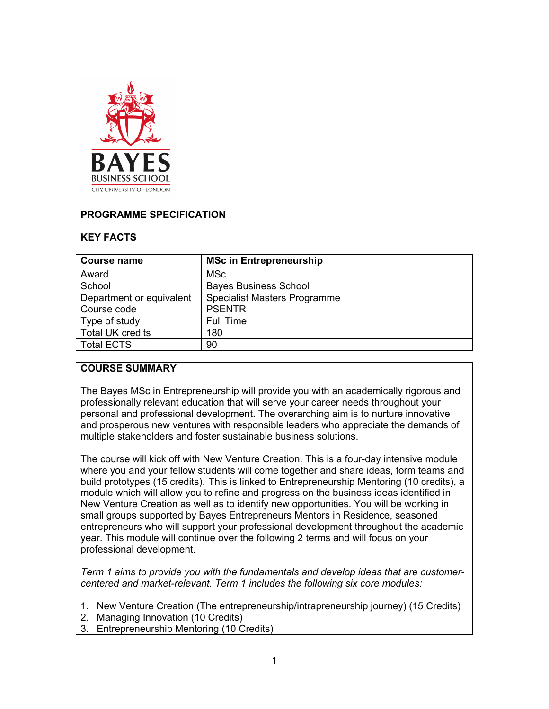

#### **PROGRAMME SPECIFICATION**

#### **KEY FACTS**

| Course name              | <b>MSc in Entrepreneurship</b>      |  |  |
|--------------------------|-------------------------------------|--|--|
| Award                    | <b>MSc</b>                          |  |  |
| School                   | <b>Bayes Business School</b>        |  |  |
| Department or equivalent | <b>Specialist Masters Programme</b> |  |  |
| Course code              | <b>PSENTR</b>                       |  |  |
| Type of study            | <b>Full Time</b>                    |  |  |
| <b>Total UK credits</b>  | 180                                 |  |  |
| <b>Total ECTS</b>        | 90                                  |  |  |

#### **COURSE SUMMARY**

The Bayes MSc in Entrepreneurship will provide you with an academically rigorous and professionally relevant education that will serve your career needs throughout your personal and professional development. The overarching aim is to nurture innovative and prosperous new ventures with responsible leaders who appreciate the demands of multiple stakeholders and foster sustainable business solutions.

The course will kick off with New Venture Creation. This is a four-day intensive module where you and your fellow students will come together and share ideas, form teams and build prototypes (15 credits). This is linked to Entrepreneurship Mentoring (10 credits), a module which will allow you to refine and progress on the business ideas identified in New Venture Creation as well as to identify new opportunities. You will be working in small groups supported by Bayes Entrepreneurs Mentors in Residence, seasoned entrepreneurs who will support your professional development throughout the academic year. This module will continue over the following 2 terms and will focus on your professional development.

*Term 1 aims to provide you with the fundamentals and develop ideas that are customercentered and market-relevant. Term 1 includes the following six core modules:*

- 1. New Venture Creation (The entrepreneurship/intrapreneurship journey) (15 Credits)
- 2. Managing Innovation (10 Credits)
- 3. Entrepreneurship Mentoring (10 Credits)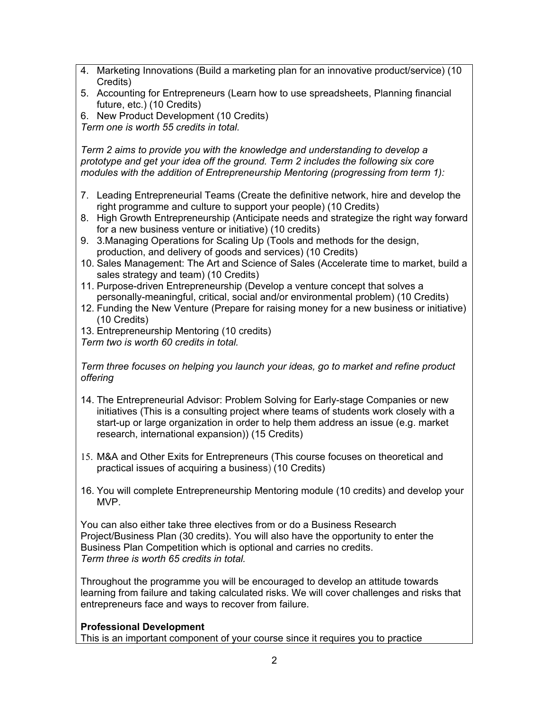- 4. Marketing Innovations (Build a marketing plan for an innovative product/service) (10 Credits)
- 5. Accounting for Entrepreneurs (Learn how to use spreadsheets, Planning financial future, etc.) (10 Credits)
- 6. New Product Development (10 Credits)

*Term one is worth 55 credits in total.*

*Term 2 aims to provide you with the knowledge and understanding to develop a prototype and get your idea off the ground. Term 2 includes the following six core modules with the addition of Entrepreneurship Mentoring (progressing from term 1):*

- 7. Leading Entrepreneurial Teams (Create the definitive network, hire and develop the right programme and culture to support your people) (10 Credits)
- 8. High Growth Entrepreneurship (Anticipate needs and strategize the right way forward for a new business venture or initiative) (10 credits)
- 9. 3.Managing Operations for Scaling Up (Tools and methods for the design, production, and delivery of goods and services) (10 Credits)
- 10. Sales Management: The Art and Science of Sales (Accelerate time to market, build a sales strategy and team) (10 Credits)
- 11. Purpose-driven Entrepreneurship (Develop a venture concept that solves a personally-meaningful, critical, social and/or environmental problem) (10 Credits)
- 12. Funding the New Venture (Prepare for raising money for a new business or initiative) (10 Credits)
- 13. Entrepreneurship Mentoring (10 credits)
- *Term two is worth 60 credits in total.*

*Term three focuses on helping you launch your ideas, go to market and refine product offering*

- 14. The Entrepreneurial Advisor: Problem Solving for Early-stage Companies or new initiatives (This is a consulting project where teams of students work closely with a start-up or large organization in order to help them address an issue (e.g. market research, international expansion)) (15 Credits)
- 15. M&A and Other Exits for Entrepreneurs (This course focuses on theoretical and practical issues of acquiring a business) (10 Credits)
- 16. You will complete Entrepreneurship Mentoring module (10 credits) and develop your MVP.

You can also either take three electives from or do a Business Research Project/Business Plan (30 credits). You will also have the opportunity to enter the Business Plan Competition which is optional and carries no credits. *Term three is worth 65 credits in total.*

Throughout the programme you will be encouraged to develop an attitude towards learning from failure and taking calculated risks. We will cover challenges and risks that entrepreneurs face and ways to recover from failure.

## **Professional Development**

This is an important component of your course since it requires you to practice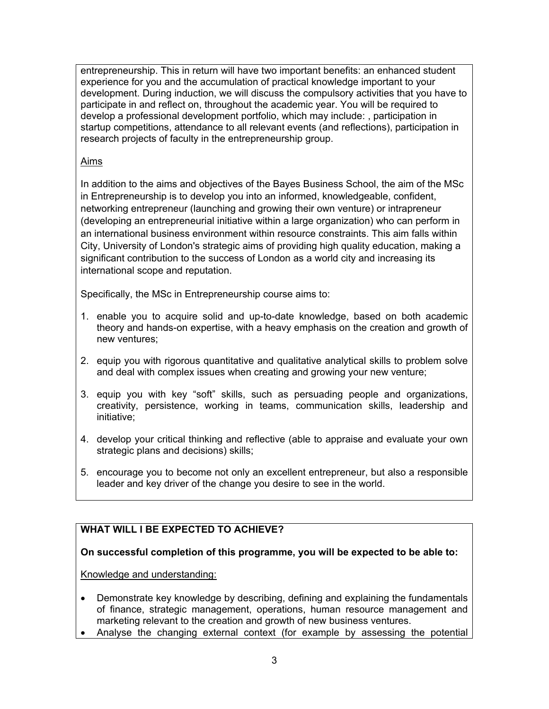entrepreneurship. This in return will have two important benefits: an enhanced student experience for you and the accumulation of practical knowledge important to your development. During induction, we will discuss the compulsory activities that you have to participate in and reflect on, throughout the academic year. You will be required to develop a professional development portfolio, which may include: , participation in startup competitions, attendance to all relevant events (and reflections), participation in research projects of faculty in the entrepreneurship group.

#### Aims

In addition to the aims and objectives of the Bayes Business School, the aim of the MSc in Entrepreneurship is to develop you into an informed, knowledgeable, confident, networking entrepreneur (launching and growing their own venture) or intrapreneur (developing an entrepreneurial initiative within a large organization) who can perform in an international business environment within resource constraints. This aim falls within City, University of London's strategic aims of providing high quality education, making a significant contribution to the success of London as a world city and increasing its international scope and reputation.

Specifically, the MSc in Entrepreneurship course aims to:

- 1. enable you to acquire solid and up-to-date knowledge, based on both academic theory and hands-on expertise, with a heavy emphasis on the creation and growth of new ventures;
- 2. equip you with rigorous quantitative and qualitative analytical skills to problem solve and deal with complex issues when creating and growing your new venture;
- 3. equip you with key "soft" skills, such as persuading people and organizations, creativity, persistence, working in teams, communication skills, leadership and initiative;
- 4. develop your critical thinking and reflective (able to appraise and evaluate your own strategic plans and decisions) skills;
- 5. encourage you to become not only an excellent entrepreneur, but also a responsible leader and key driver of the change you desire to see in the world.

# **WHAT WILL I BE EXPECTED TO ACHIEVE?**

## **On successful completion of this programme, you will be expected to be able to:**

Knowledge and understanding:

- Demonstrate key knowledge by describing, defining and explaining the fundamentals of finance, strategic management, operations, human resource management and marketing relevant to the creation and growth of new business ventures.
- Analyse the changing external context (for example by assessing the potential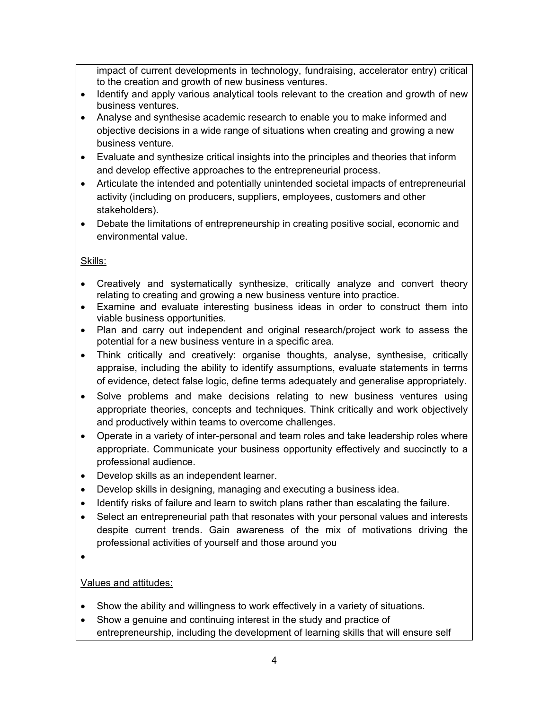impact of current developments in technology, fundraising, accelerator entry) critical to the creation and growth of new business ventures.

- Identify and apply various analytical tools relevant to the creation and growth of new business ventures.
- Analyse and synthesise academic research to enable you to make informed and objective decisions in a wide range of situations when creating and growing a new business venture.
- Evaluate and synthesize critical insights into the principles and theories that inform and develop effective approaches to the entrepreneurial process.
- Articulate the intended and potentially unintended societal impacts of entrepreneurial activity (including on producers, suppliers, employees, customers and other stakeholders).
- Debate the limitations of entrepreneurship in creating positive social, economic and environmental value.

# Skills:

- Creatively and systematically synthesize, critically analyze and convert theory relating to creating and growing a new business venture into practice.
- Examine and evaluate interesting business ideas in order to construct them into viable business opportunities.
- Plan and carry out independent and original research/project work to assess the potential for a new business venture in a specific area.
- Think critically and creatively: organise thoughts, analyse, synthesise, critically appraise, including the ability to identify assumptions, evaluate statements in terms of evidence, detect false logic, define terms adequately and generalise appropriately.
- Solve problems and make decisions relating to new business ventures using appropriate theories, concepts and techniques. Think critically and work objectively and productively within teams to overcome challenges.
- Operate in a variety of inter-personal and team roles and take leadership roles where appropriate. Communicate your business opportunity effectively and succinctly to a professional audience.
- Develop skills as an independent learner.
- Develop skills in designing, managing and executing a business idea.
- Identify risks of failure and learn to switch plans rather than escalating the failure.
- Select an entrepreneurial path that resonates with your personal values and interests despite current trends. Gain awareness of the mix of motivations driving the professional activities of yourself and those around you
- •

# Values and attitudes:

- Show the ability and willingness to work effectively in a variety of situations.
- Show a genuine and continuing interest in the study and practice of entrepreneurship, including the development of learning skills that will ensure self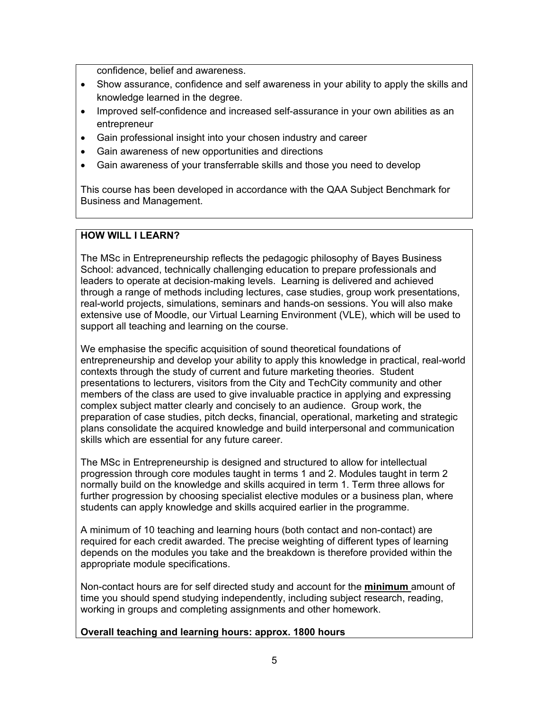confidence, belief and awareness.

- Show assurance, confidence and self awareness in your ability to apply the skills and knowledge learned in the degree.
- Improved self-confidence and increased self-assurance in your own abilities as an entrepreneur
- Gain professional insight into your chosen industry and career
- Gain awareness of new opportunities and directions
- Gain awareness of your transferrable skills and those you need to develop

This course has been developed in accordance with the QAA Subject Benchmark for Business and Management.

## **HOW WILL I LEARN?**

The MSc in Entrepreneurship reflects the pedagogic philosophy of Bayes Business School: advanced, technically challenging education to prepare professionals and leaders to operate at decision-making levels. Learning is delivered and achieved through a range of methods including lectures, case studies, group work presentations, real-world projects, simulations, seminars and hands-on sessions. You will also make extensive use of Moodle, our Virtual Learning Environment (VLE), which will be used to support all teaching and learning on the course.

We emphasise the specific acquisition of sound theoretical foundations of entrepreneurship and develop your ability to apply this knowledge in practical, real-world contexts through the study of current and future marketing theories. Student presentations to lecturers, visitors from the City and TechCity community and other members of the class are used to give invaluable practice in applying and expressing complex subject matter clearly and concisely to an audience. Group work, the preparation of case studies, pitch decks, financial, operational, marketing and strategic plans consolidate the acquired knowledge and build interpersonal and communication skills which are essential for any future career.

The MSc in Entrepreneurship is designed and structured to allow for intellectual progression through core modules taught in terms 1 and 2. Modules taught in term 2 normally build on the knowledge and skills acquired in term 1. Term three allows for further progression by choosing specialist elective modules or a business plan, where students can apply knowledge and skills acquired earlier in the programme.

A minimum of 10 teaching and learning hours (both contact and non-contact) are required for each credit awarded. The precise weighting of different types of learning depends on the modules you take and the breakdown is therefore provided within the appropriate module specifications.

Non-contact hours are for self directed study and account for the **minimum** amount of time you should spend studying independently, including subject research, reading, working in groups and completing assignments and other homework.

#### **Overall teaching and learning hours: approx. 1800 hours**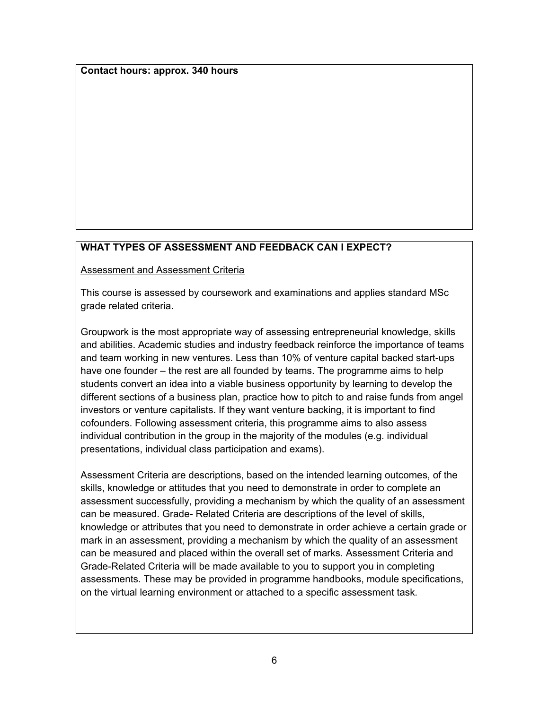**Contact hours: approx. 340 hours**

## **WHAT TYPES OF ASSESSMENT AND FEEDBACK CAN I EXPECT?**

Assessment and Assessment Criteria

This course is assessed by coursework and examinations and applies standard MSc grade related criteria.

Groupwork is the most appropriate way of assessing entrepreneurial knowledge, skills and abilities. Academic studies and industry feedback reinforce the importance of teams and team working in new ventures. Less than 10% of venture capital backed start-ups have one founder – the rest are all founded by teams. The programme aims to help students convert an idea into a viable business opportunity by learning to develop the different sections of a business plan, practice how to pitch to and raise funds from angel investors or venture capitalists. If they want venture backing, it is important to find cofounders. Following assessment criteria, this programme aims to also assess individual contribution in the group in the majority of the modules (e.g. individual presentations, individual class participation and exams).

Assessment Criteria are descriptions, based on the intended learning outcomes, of the skills, knowledge or attitudes that you need to demonstrate in order to complete an assessment successfully, providing a mechanism by which the quality of an assessment can be measured. Grade- Related Criteria are descriptions of the level of skills, knowledge or attributes that you need to demonstrate in order achieve a certain grade or mark in an assessment, providing a mechanism by which the quality of an assessment can be measured and placed within the overall set of marks. Assessment Criteria and Grade-Related Criteria will be made available to you to support you in completing assessments. These may be provided in programme handbooks, module specifications, on the virtual learning environment or attached to a specific assessment task*.*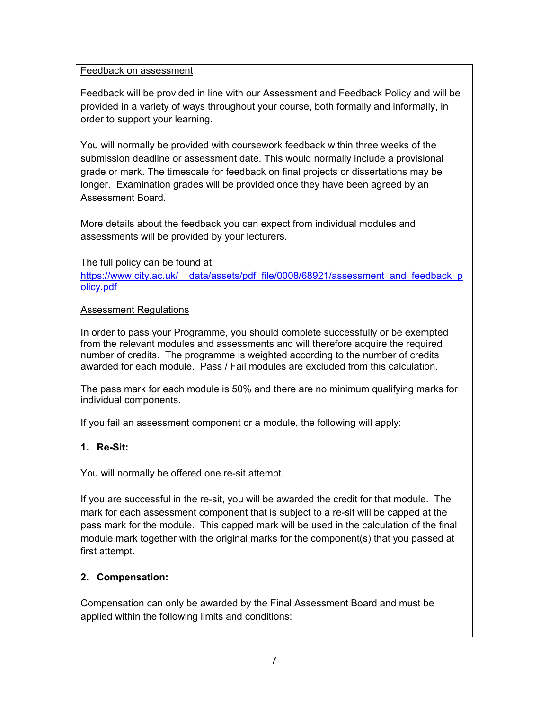## Feedback on assessment

Feedback will be provided in line with our Assessment and Feedback Policy and will be provided in a variety of ways throughout your course, both formally and informally, in order to support your learning.

You will normally be provided with coursework feedback within three weeks of the submission deadline or assessment date. This would normally include a provisional grade or mark. The timescale for feedback on final projects or dissertations may be longer. Examination grades will be provided once they have been agreed by an Assessment Board.

More details about the feedback you can expect from individual modules and assessments will be provided by your lecturers.

The full policy can be found at:

https://www.city.ac.uk/ data/assets/pdf file/0008/68921/assessment and feedback p [olicy.pdf](https://www.city.ac.uk/__data/assets/pdf_file/0008/68921/assessment_and_feedback_policy.pdf)

#### Assessment Regulations

In order to pass your Programme, you should complete successfully or be exempted from the relevant modules and assessments and will therefore acquire the required number of credits. The programme is weighted according to the number of credits awarded for each module. Pass / Fail modules are excluded from this calculation.

The pass mark for each module is 50% and there are no minimum qualifying marks for individual components.

If you fail an assessment component or a module, the following will apply:

## **1. Re-Sit:**

You will normally be offered one re-sit attempt.

If you are successful in the re-sit, you will be awarded the credit for that module. The mark for each assessment component that is subject to a re-sit will be capped at the pass mark for the module. This capped mark will be used in the calculation of the final module mark together with the original marks for the component(s) that you passed at first attempt.

## **2. Compensation:**

Compensation can only be awarded by the Final Assessment Board and must be applied within the following limits and conditions: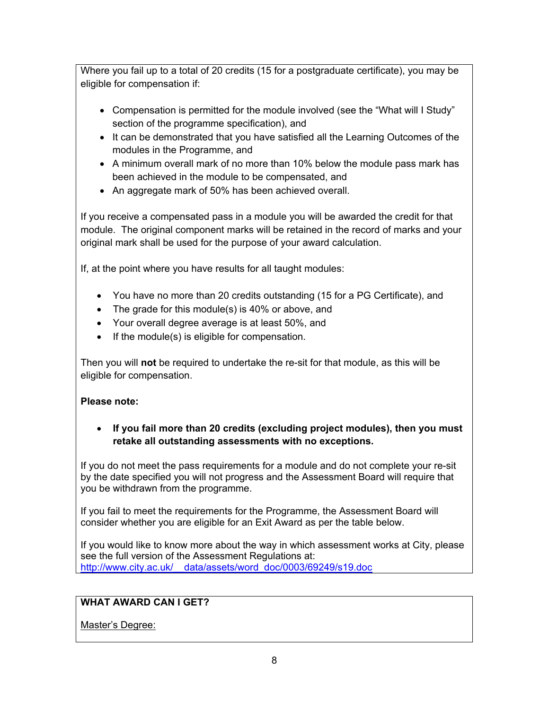Where you fail up to a total of 20 credits (15 for a postgraduate certificate), you may be eligible for compensation if:

- Compensation is permitted for the module involved (see the "What will I Study" section of the programme specification), and
- It can be demonstrated that you have satisfied all the Learning Outcomes of the modules in the Programme, and
- A minimum overall mark of no more than 10% below the module pass mark has been achieved in the module to be compensated, and
- An aggregate mark of 50% has been achieved overall.

If you receive a compensated pass in a module you will be awarded the credit for that module. The original component marks will be retained in the record of marks and your original mark shall be used for the purpose of your award calculation.

If, at the point where you have results for all taught modules:

- You have no more than 20 credits outstanding (15 for a PG Certificate), and
- The grade for this module(s) is 40% or above, and
- Your overall degree average is at least 50%, and
- If the module(s) is eligible for compensation.

Then you will **not** be required to undertake the re-sit for that module, as this will be eligible for compensation.

# **Please note:**

• **If you fail more than 20 credits (excluding project modules), then you must retake all outstanding assessments with no exceptions.**

If you do not meet the pass requirements for a module and do not complete your re-sit by the date specified you will not progress and the Assessment Board will require that you be withdrawn from the programme.

If you fail to meet the requirements for the Programme, the Assessment Board will consider whether you are eligible for an Exit Award as per the table below.

If you would like to know more about the way in which assessment works at City, please see the full version of the Assessment Regulations at: [http://www.city.ac.uk/\\_\\_data/assets/word\\_doc/0003/69249/s19.doc](http://www.city.ac.uk/__data/assets/word_doc/0003/69249/s19.doc)

# **WHAT AWARD CAN I GET?**

# Master's Degree: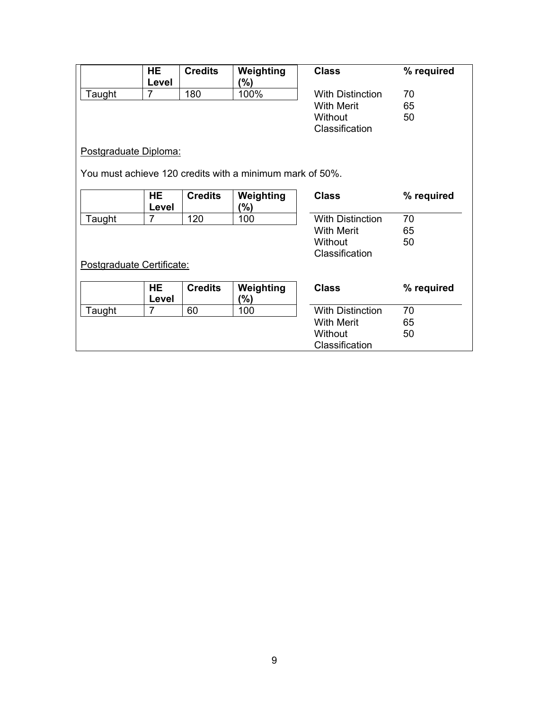|                                                          | HE.            | <b>Credits</b> | Weighting         | <b>Class</b>            | % required |  |  |
|----------------------------------------------------------|----------------|----------------|-------------------|-------------------------|------------|--|--|
| Taught                                                   | Level<br>7     | 180            | (%)<br>100%       | <b>With Distinction</b> | 70         |  |  |
|                                                          |                |                |                   | With Merit              | 65         |  |  |
|                                                          |                |                |                   | Without                 | 50         |  |  |
|                                                          |                |                |                   | Classification          |            |  |  |
| Postgraduate Diploma:                                    |                |                |                   |                         |            |  |  |
| You must achieve 120 credits with a minimum mark of 50%. |                |                |                   |                         |            |  |  |
|                                                          | HE<br>Level    | <b>Credits</b> | Weighting<br>(%)  | <b>Class</b>            | % required |  |  |
| Taught                                                   | $\overline{7}$ | 120            | 100               | <b>With Distinction</b> | 70         |  |  |
|                                                          |                |                | <b>With Merit</b> |                         | 65         |  |  |
|                                                          |                |                |                   | Without                 | 50         |  |  |
|                                                          |                |                |                   | Classification          |            |  |  |
| Postgraduate Certificate:                                |                |                |                   |                         |            |  |  |
|                                                          | <b>HE</b>      | <b>Credits</b> | Weighting         | <b>Class</b>            | % required |  |  |
|                                                          | Level          |                | (%)               |                         |            |  |  |
| Taught                                                   | 7              | 60             | 100               | <b>With Distinction</b> | 70         |  |  |
|                                                          |                |                |                   | <b>With Merit</b>       | 65         |  |  |
|                                                          |                |                |                   | Without                 | 50         |  |  |
|                                                          |                |                |                   | Classification          |            |  |  |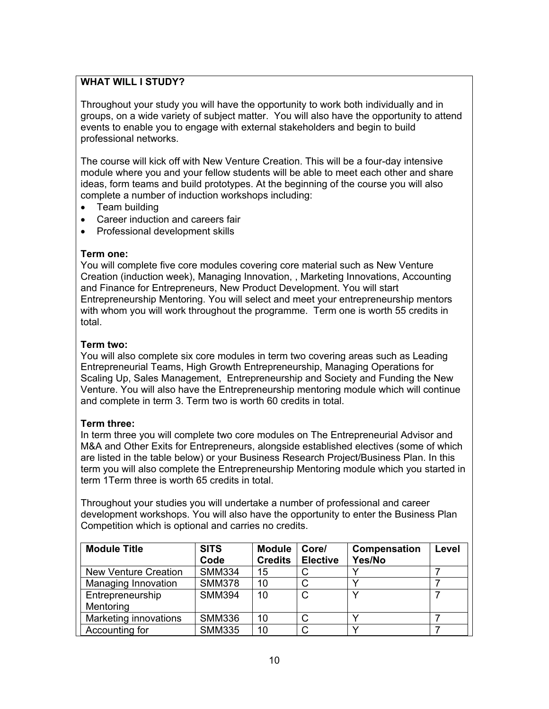## **WHAT WILL I STUDY?**

Throughout your study you will have the opportunity to work both individually and in groups, on a wide variety of subject matter. You will also have the opportunity to attend events to enable you to engage with external stakeholders and begin to build professional networks.

The course will kick off with New Venture Creation. This will be a four-day intensive module where you and your fellow students will be able to meet each other and share ideas, form teams and build prototypes. At the beginning of the course you will also complete a number of induction workshops including:

- Team building
- Career induction and careers fair
- Professional development skills

#### **Term one:**

You will complete five core modules covering core material such as New Venture Creation (induction week), Managing Innovation, , Marketing Innovations, Accounting and Finance for Entrepreneurs, New Product Development. You will start Entrepreneurship Mentoring. You will select and meet your entrepreneurship mentors with whom you will work throughout the programme. Term one is worth 55 credits in total.

#### **Term two:**

You will also complete six core modules in term two covering areas such as Leading Entrepreneurial Teams, High Growth Entrepreneurship, Managing Operations for Scaling Up, Sales Management, Entrepreneurship and Society and Funding the New Venture. You will also have the Entrepreneurship mentoring module which will continue and complete in term 3. Term two is worth 60 credits in total.

## **Term three:**

In term three you will complete two core modules on The Entrepreneurial Advisor and M&A and Other Exits for Entrepreneurs, alongside established electives (some of which are listed in the table below) or your Business Research Project/Business Plan. In this term you will also complete the Entrepreneurship Mentoring module which you started in term 1Term three is worth 65 credits in total.

Throughout your studies you will undertake a number of professional and career development workshops. You will also have the opportunity to enter the Business Plan Competition which is optional and carries no credits.

| <b>Module Title</b>         | <b>SITS</b><br>Code | <b>Module</b><br><b>Credits</b> | Core/<br><b>Elective</b> | Compensation<br>Yes/No | Level |
|-----------------------------|---------------------|---------------------------------|--------------------------|------------------------|-------|
| <b>New Venture Creation</b> | <b>SMM334</b>       | 15                              |                          |                        |       |
| Managing Innovation         | <b>SMM378</b>       | 10                              |                          |                        |       |
| Entrepreneurship            | <b>SMM394</b>       | 10                              | C                        |                        |       |
| Mentoring                   |                     |                                 |                          |                        |       |
| Marketing innovations       | <b>SMM336</b>       | 10                              |                          |                        |       |
| Accounting for              | <b>SMM335</b>       | 10                              |                          |                        |       |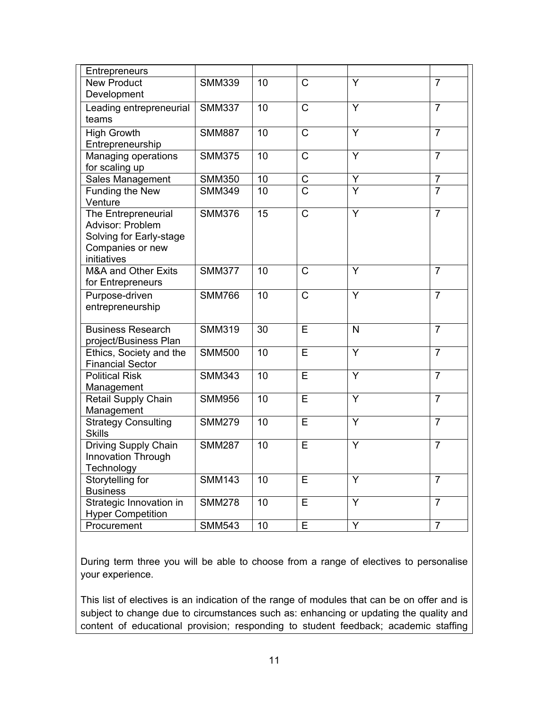| Entrepreneurs                  |               |    |                |   |                |
|--------------------------------|---------------|----|----------------|---|----------------|
| <b>New Product</b>             | <b>SMM339</b> | 10 | C              | Y | $\overline{7}$ |
| Development                    |               |    |                |   |                |
| Leading entrepreneurial        | <b>SMM337</b> | 10 | $\mathsf{C}$   | Y | $\overline{7}$ |
| teams                          |               |    |                |   |                |
| <b>High Growth</b>             | <b>SMM887</b> | 10 | $\overline{C}$ | Y | $\overline{7}$ |
| Entrepreneurship               |               |    |                |   |                |
| Managing operations            | <b>SMM375</b> | 10 | C              | Y | $\overline{7}$ |
| for scaling up                 |               |    |                |   |                |
| Sales Management               | <b>SMM350</b> | 10 | C              | Y | $\overline{7}$ |
| Funding the New                | <b>SMM349</b> | 10 | $\overline{C}$ | Y | $\overline{7}$ |
| Venture                        |               |    |                |   |                |
| The Entrepreneurial            | <b>SMM376</b> | 15 | C              | Y | $\overline{7}$ |
| Advisor: Problem               |               |    |                |   |                |
| Solving for Early-stage        |               |    |                |   |                |
| Companies or new               |               |    |                |   |                |
| initiatives                    |               |    |                |   |                |
| <b>M&amp;A and Other Exits</b> | <b>SMM377</b> | 10 | C              | Y | $\overline{7}$ |
| for Entrepreneurs              |               |    |                |   |                |
| Purpose-driven                 | <b>SMM766</b> | 10 | C              | Y | $\overline{7}$ |
| entrepreneurship               |               |    |                |   |                |
| <b>Business Research</b>       | <b>SMM319</b> | 30 | E              | N | $\overline{7}$ |
| project/Business Plan          |               |    |                |   |                |
| Ethics, Society and the        | <b>SMM500</b> | 10 | E              | Y | $\overline{7}$ |
| <b>Financial Sector</b>        |               |    |                |   |                |
| <b>Political Risk</b>          | <b>SMM343</b> | 10 | E              | Y | $\overline{7}$ |
| Management                     |               |    |                |   |                |
| Retail Supply Chain            | <b>SMM956</b> | 10 | E              | Y | $\overline{7}$ |
| Management                     |               |    |                |   |                |
| <b>Strategy Consulting</b>     | <b>SMM279</b> | 10 | E              | Y | $\overline{7}$ |
| <b>Skills</b>                  |               |    |                |   |                |
| Driving Supply Chain           | <b>SMM287</b> | 10 | E              | Y | $\overline{7}$ |
| <b>Innovation Through</b>      |               |    |                |   |                |
| Technology                     |               |    |                |   |                |
| Storytelling for               | <b>SMM143</b> | 10 | Е              | Y | $\overline{7}$ |
| <b>Business</b>                |               |    |                |   |                |
| Strategic Innovation in        | <b>SMM278</b> | 10 | E              | Y | $\overline{7}$ |
| <b>Hyper Competition</b>       |               |    |                |   |                |
| Procurement                    | <b>SMM543</b> | 10 | E              | Y | $\overline{7}$ |

During term three you will be able to choose from a range of electives to personalise your experience.

This list of electives is an indication of the range of modules that can be on offer and is subject to change due to circumstances such as: enhancing or updating the quality and content of educational provision; responding to student feedback; academic staffing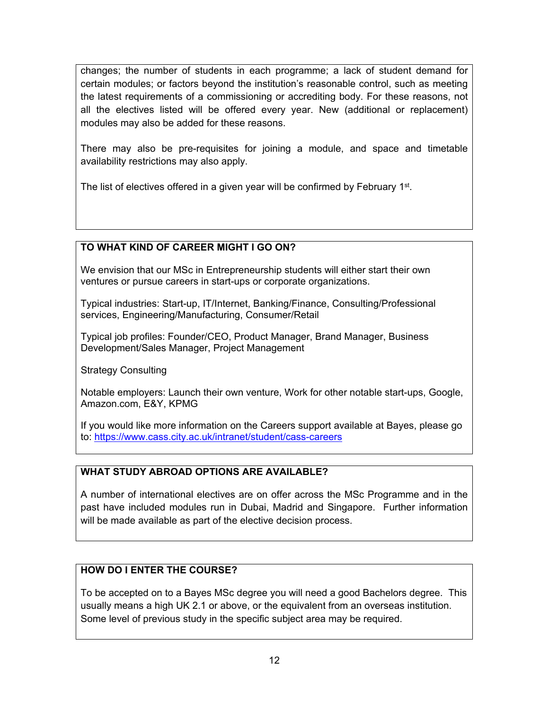changes; the number of students in each programme; a lack of student demand for certain modules; or factors beyond the institution's reasonable control, such as meeting the latest requirements of a commissioning or accrediting body. For these reasons, not all the electives listed will be offered every year. New (additional or replacement) modules may also be added for these reasons.

There may also be pre-requisites for joining a module, and space and timetable availability restrictions may also apply.

The list of electives offered in a given year will be confirmed by February 1<sup>st</sup>.

# **TO WHAT KIND OF CAREER MIGHT I GO ON?**

We envision that our MSc in Entrepreneurship students will either start their own ventures or pursue careers in start-ups or corporate organizations.

Typical industries: Start-up, IT/Internet, Banking/Finance, Consulting/Professional services, Engineering/Manufacturing, Consumer/Retail

Typical job profiles: Founder/CEO, Product Manager, Brand Manager, Business Development/Sales Manager, Project Management

Strategy Consulting

Notable employers: Launch their own venture, Work for other notable start-ups, Google, Amazon.com, E&Y, KPMG

If you would like more information on the Careers support available at Bayes, please go to:<https://www.cass.city.ac.uk/intranet/student/cass-careers>

# **WHAT STUDY ABROAD OPTIONS ARE AVAILABLE?**

A number of international electives are on offer across the MSc Programme and in the past have included modules run in Dubai, Madrid and Singapore. Further information will be made available as part of the elective decision process.

# **HOW DO I ENTER THE COURSE?**

To be accepted on to a Bayes MSc degree you will need a good Bachelors degree. This usually means a high UK 2.1 or above, or the equivalent from an overseas institution. Some level of previous study in the specific subject area may be required.